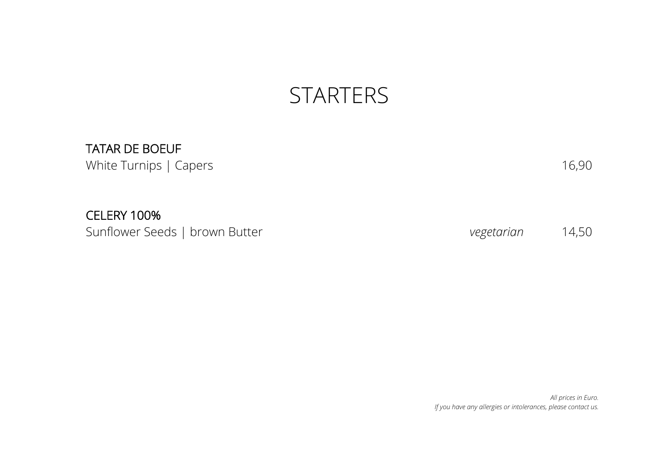## **STARTERS**

#### TATAR DE BOEUF

White Turnips | Capers 16,90

# CELERY 100%

Sunflower Seeds | brown Butter *vegetarian* 14,50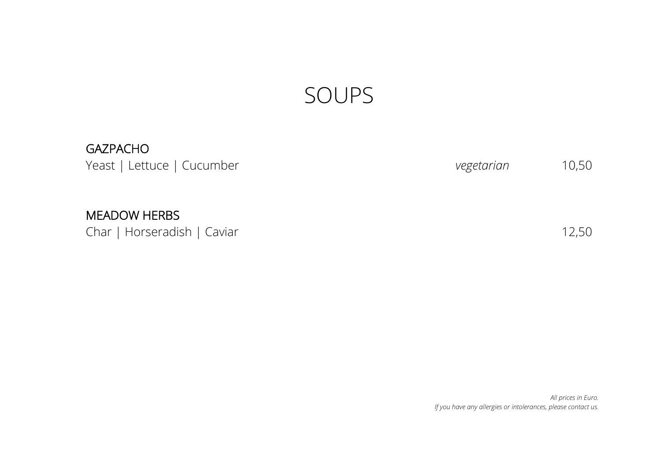# SOUPS

### GAZPACHO

Yeast | Lettuce | Cucumber *vegetarian* 10,50

#### MEADOW HERBS

Char | Horseradish | Caviar 12,50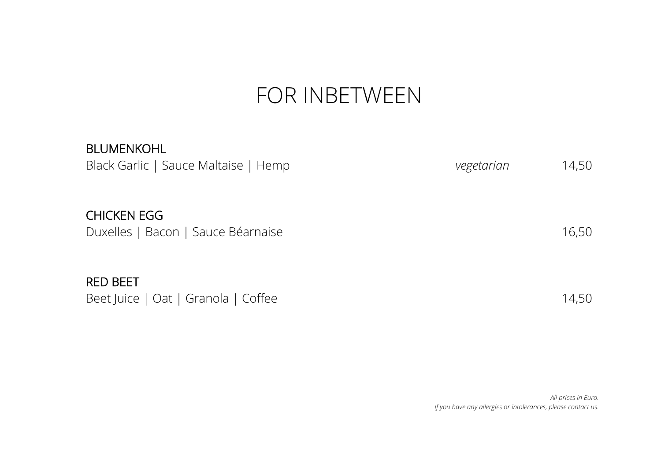# FOR INBETWEEN

| <b>BLUMENKOHL</b><br>Black Garlic   Sauce Maltaise   Hemp | vegetarian | 14,50 |
|-----------------------------------------------------------|------------|-------|
| <b>CHICKEN EGG</b><br>Duxelles   Bacon   Sauce Béarnaise  |            | 16,50 |
| <b>RED BEET</b><br>Beet Juice   Oat   Granola   Coffee    |            | 14,50 |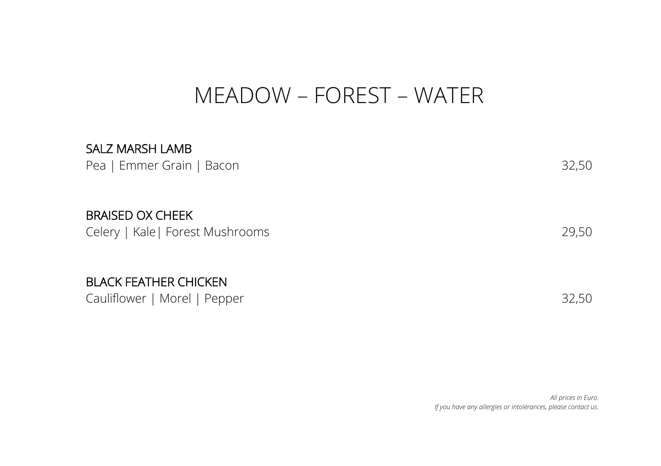## MEADOW – FOREST – WATER

# SALZ MARSH LAMB Pea | Emmer Grain | Bacon 32,50 BRAISED OX CHEEK Celery | Kale| Forest Mushrooms 29,50 BLACK FEATHER CHICKEN Cauliflower | Morel | Pepper 32,50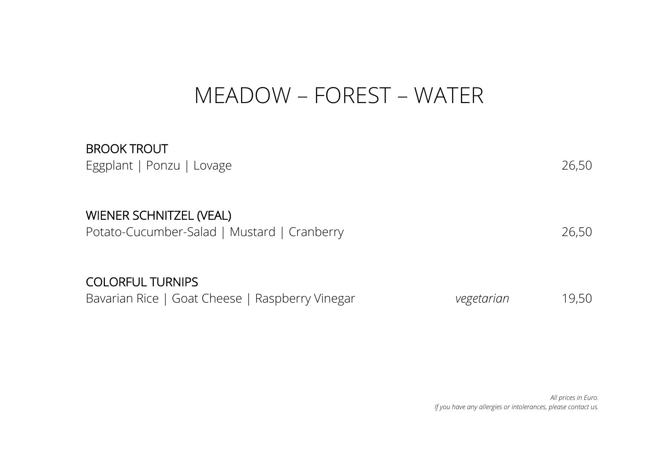# MEADOW – FOREST – WATER

| <b>BROOK TROUT</b><br>Eggplant   Ponzu   Lovage                            |            | 26,50 |
|----------------------------------------------------------------------------|------------|-------|
| WIENER SCHNITZEL (VEAL)<br>Potato-Cucumber-Salad   Mustard   Cranberry     |            | 26,50 |
| <b>COLORFUL TURNIPS</b><br>Bavarian Rice   Goat Cheese   Raspberry Vinegar | vegetarian | 19,50 |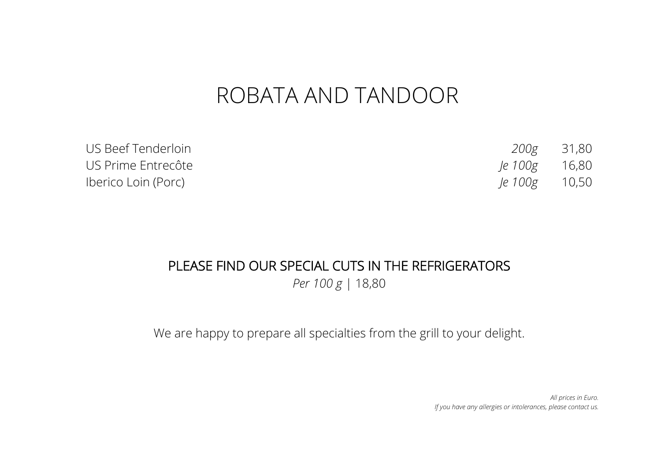# ROBATA AND TANDOOR

| US Beef Tenderloin  |                      | 200g 31,80 |
|---------------------|----------------------|------------|
| US Prime Entrecôte  | le 100g 16,80        |            |
| Iberico Loin (Porc) | <i>le</i> 100g 10,50 |            |

#### PLEASE FIND OUR SPECIAL CUTS IN THE REFRIGERATORS

*Per 100 g* | 18,80

We are happy to prepare all specialties from the grill to your delight.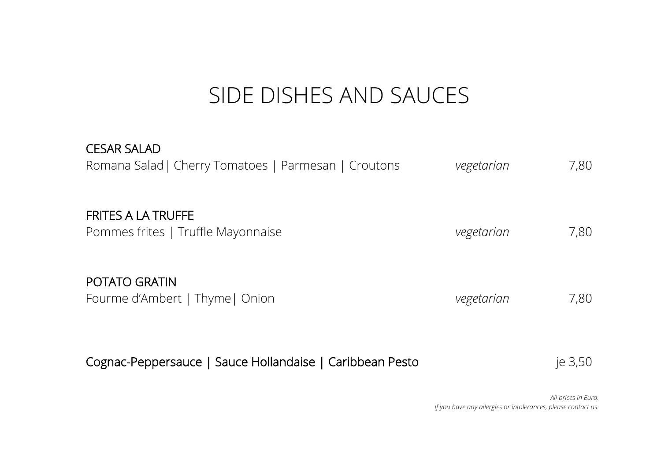# SIDE DISHES AND SAUCES

| <b>CESAR SALAD</b><br>Romana Salad   Cherry Tomatoes   Parmesan   Croutons | vegetarian | 7,80 |
|----------------------------------------------------------------------------|------------|------|
| FRITES A LA TRUFFE<br>Pommes frites   Truffle Mayonnaise                   | vegetarian | 7,80 |
| POTATO GRATIN<br>Fourme d'Ambert   Thyme   Onion                           | vegetarian | 7,80 |

| Cognac-Peppersauce   Sauce Hollandaise   Caribbean Pesto |  | je 3,50 |
|----------------------------------------------------------|--|---------|
|----------------------------------------------------------|--|---------|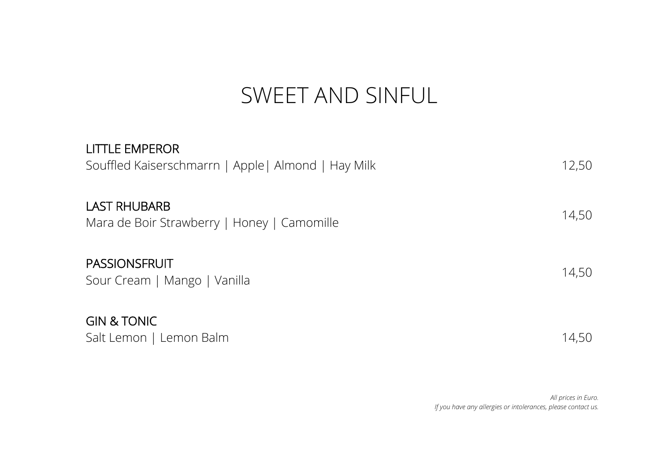# SWEET AND SINFUL

| <b>LITTLE EMPEROR</b><br>Souffled Kaiserschmarrn   Apple   Almond   Hay Milk | 12,50 |
|------------------------------------------------------------------------------|-------|
| <b>LAST RHUBARB</b><br>Mara de Boir Strawberry   Honey   Camomille           | 14,50 |
| <b>PASSIONSFRUIT</b><br>Sour Cream   Mango   Vanilla                         | 14,50 |
| <b>GIN &amp; TONIC</b><br>Salt Lemon   Lemon Balm                            | 14,50 |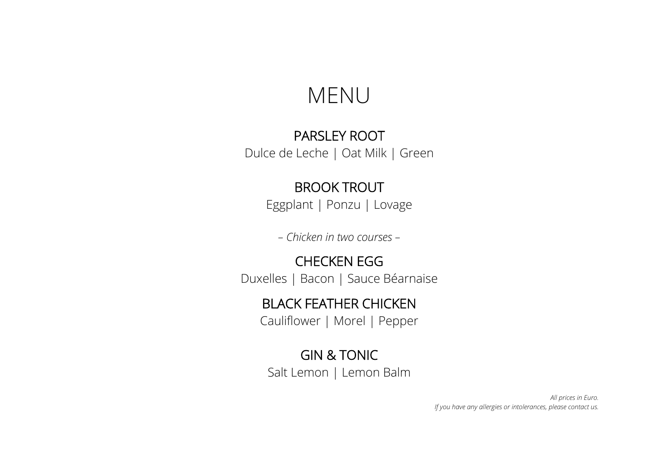### MENU

#### PARSLEY ROOT

Dulce de Leche | Oat Milk | Green

#### BROOK TROUT

Eggplant | Ponzu | Lovage

*– Chicken in two courses –*

#### CHECKEN EGG

Duxelles | Bacon | Sauce Béarnaise

#### BLACK FEATHER CHICKEN

Cauliflower | Morel | Pepper

#### GIN & TONIC

Salt Lemon | Lemon Balm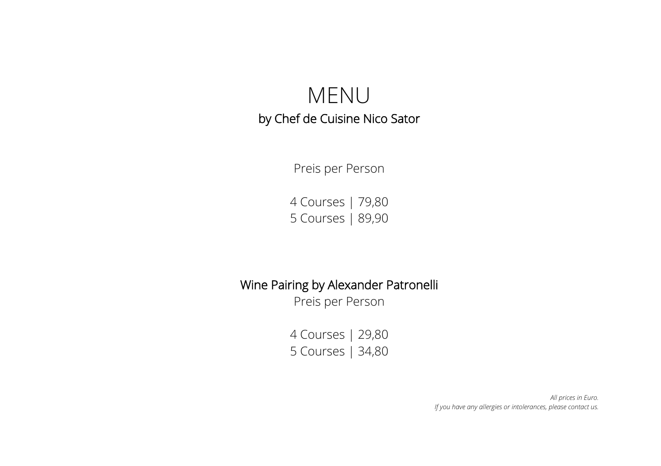### MENU by Chef de Cuisine Nico Sator

Preis per Person

4 Courses | 79,80 5 Courses | 89,90

#### Wine Pairing by Alexander Patronelli

Preis per Person

4 Courses | 29,80 5 Courses | 34,80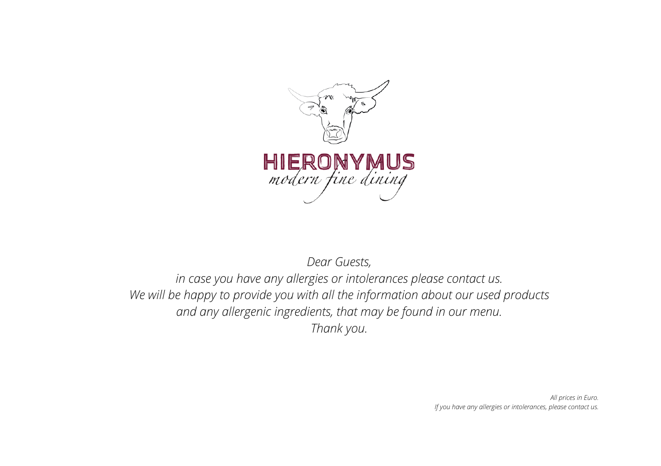

*Dear Guests,*

*in case you have any allergies or intolerances please contact us. We will be happy to provide you with all the information about our used products and any allergenic ingredients, that may be found in our menu. Thank you.*